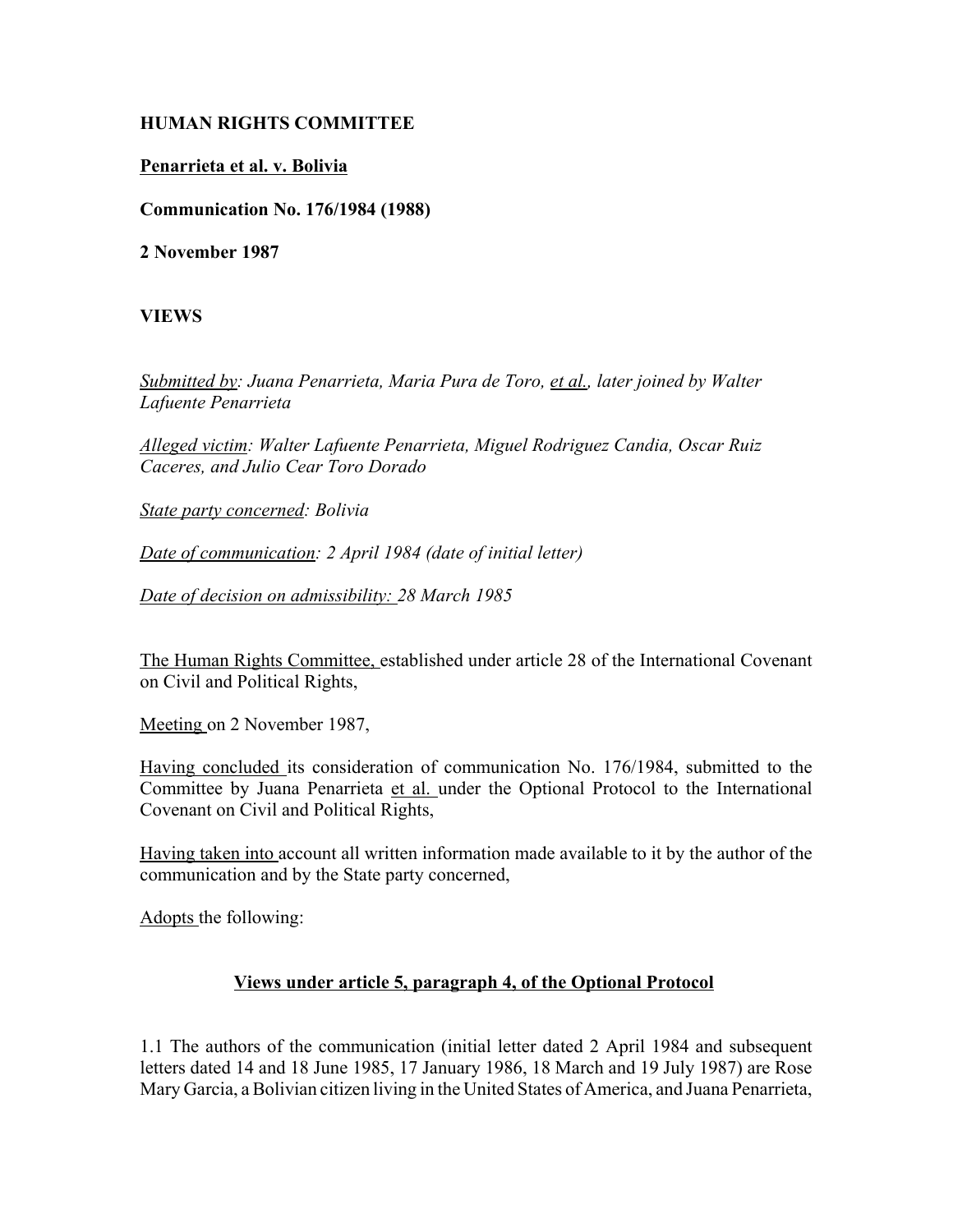## **HUMAN RIGHTS COMMITTEE**

## **Penarrieta et al. v. Bolivia**

**Communication No. 176/1984 (1988)**

**2 November 1987**

## **VIEWS**

*Submitted by: Juana Penarrieta, Maria Pura de Toro, et al., later joined by Walter Lafuente Penarrieta* 

*Alleged victim: Walter Lafuente Penarrieta, Miguel Rodriguez Candia, Oscar Ruiz Caceres, and Julio Cear Toro Dorado* 

*State party concerned: Bolivia* 

*Date of communication: 2 April 1984 (date of initial letter)* 

*Date of decision on admissibility: 28 March 1985* 

The Human Rights Committee, established under article 28 of the International Covenant on Civil and Political Rights,

Meeting on 2 November 1987,

Having concluded its consideration of communication No. 176/1984, submitted to the Committee by Juana Penarrieta et al. under the Optional Protocol to the International Covenant on Civil and Political Rights,

Having taken into account all written information made available to it by the author of the communication and by the State party concerned,

Adopts the following:

## **Views under article 5, paragraph 4, of the Optional Protocol**

1.1 The authors of the communication (initial letter dated 2 April 1984 and subsequent letters dated 14 and 18 June 1985, 17 January 1986, 18 March and 19 July 1987) are Rose Mary Garcia, a Bolivian citizen living in the United States of America, and Juana Penarrieta,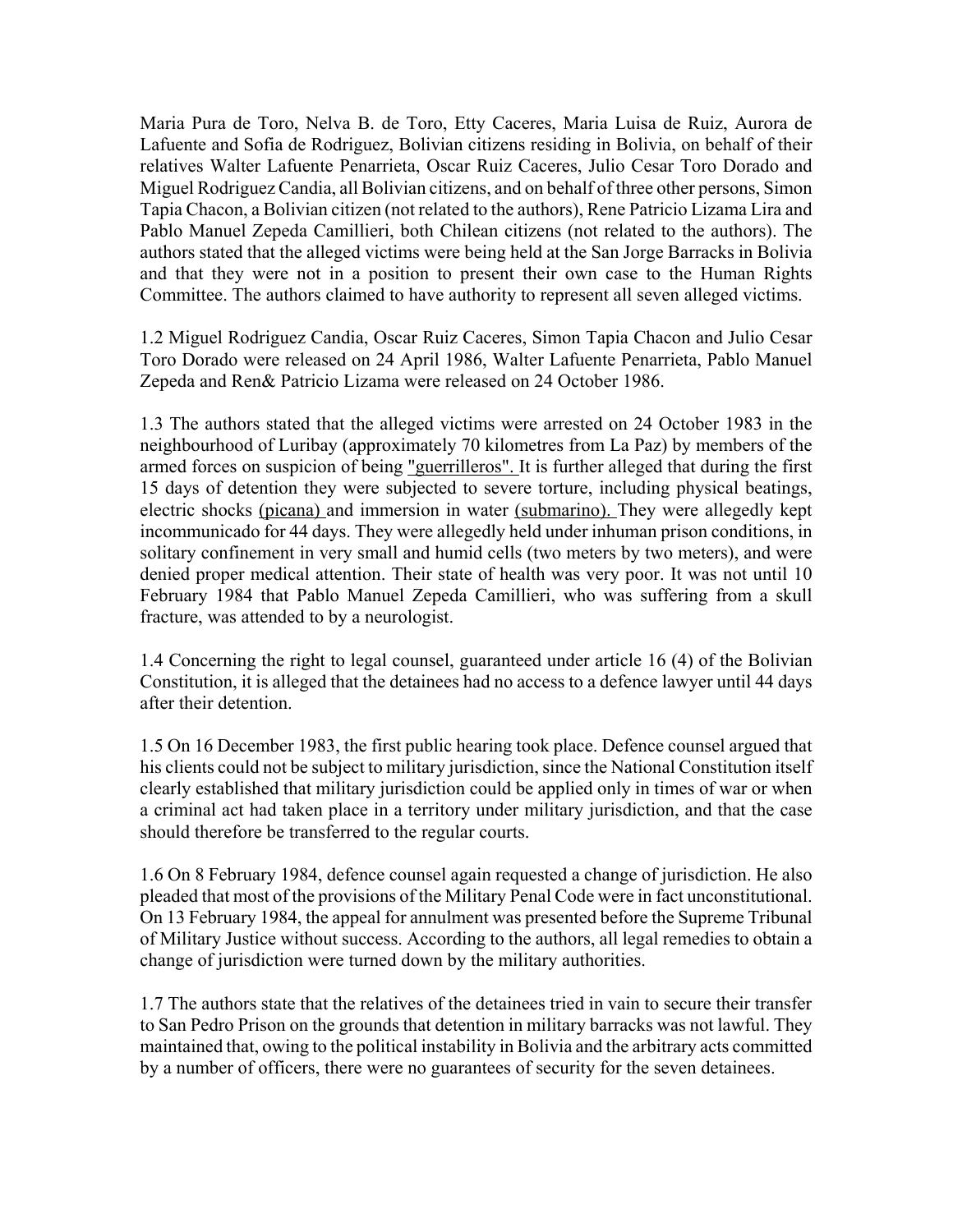Maria Pura de Toro, Nelva B. de Toro, Etty Caceres, Maria Luisa de Ruiz, Aurora de Lafuente and Sofia de Rodriguez, Bolivian citizens residing in Bolivia, on behalf of their relatives Walter Lafuente Penarrieta, Oscar Ruiz Caceres, Julio Cesar Toro Dorado and Miguel Rodriguez Candia, all Bolivian citizens, and on behalf of three other persons, Simon Tapia Chacon, a Bolivian citizen (not related to the authors), Rene Patricio Lizama Lira and Pablo Manuel Zepeda Camillieri, both Chilean citizens (not related to the authors). The authors stated that the alleged victims were being held at the San Jorge Barracks in Bolivia and that they were not in a position to present their own case to the Human Rights Committee. The authors claimed to have authority to represent all seven alleged victims.

1.2 Miguel Rodriguez Candia, Oscar Ruiz Caceres, Simon Tapia Chacon and Julio Cesar Toro Dorado were released on 24 April 1986, Walter Lafuente Penarrieta, Pablo Manuel Zepeda and Ren& Patricio Lizama were released on 24 October 1986.

1.3 The authors stated that the alleged victims were arrested on 24 October 1983 in the neighbourhood of Luribay (approximately 70 kilometres from La Paz) by members of the armed forces on suspicion of being "guerrilleros". It is further alleged that during the first 15 days of detention they were subjected to severe torture, including physical beatings, electric shocks (picana) and immersion in water (submarino). They were allegedly kept incommunicado for 44 days. They were allegedly held under inhuman prison conditions, in solitary confinement in very small and humid cells (two meters by two meters), and were denied proper medical attention. Their state of health was very poor. It was not until 10 February 1984 that Pablo Manuel Zepeda Camillieri, who was suffering from a skull fracture, was attended to by a neurologist.

1.4 Concerning the right to legal counsel, guaranteed under article 16 (4) of the Bolivian Constitution, it is alleged that the detainees had no access to a defence lawyer until 44 days after their detention.

1.5 On 16 December 1983, the first public hearing took place. Defence counsel argued that his clients could not be subject to military jurisdiction, since the National Constitution itself clearly established that military jurisdiction could be applied only in times of war or when a criminal act had taken place in a territory under military jurisdiction, and that the case should therefore be transferred to the regular courts.

1.6 On 8 February 1984, defence counsel again requested a change of jurisdiction. He also pleaded that most of the provisions of the Military Penal Code were in fact unconstitutional. On 13 February 1984, the appeal for annulment was presented before the Supreme Tribunal of Military Justice without success. According to the authors, all legal remedies to obtain a change of jurisdiction were turned down by the military authorities.

1.7 The authors state that the relatives of the detainees tried in vain to secure their transfer to San Pedro Prison on the grounds that detention in military barracks was not lawful. They maintained that, owing to the political instability in Bolivia and the arbitrary acts committed by a number of officers, there were no guarantees of security for the seven detainees.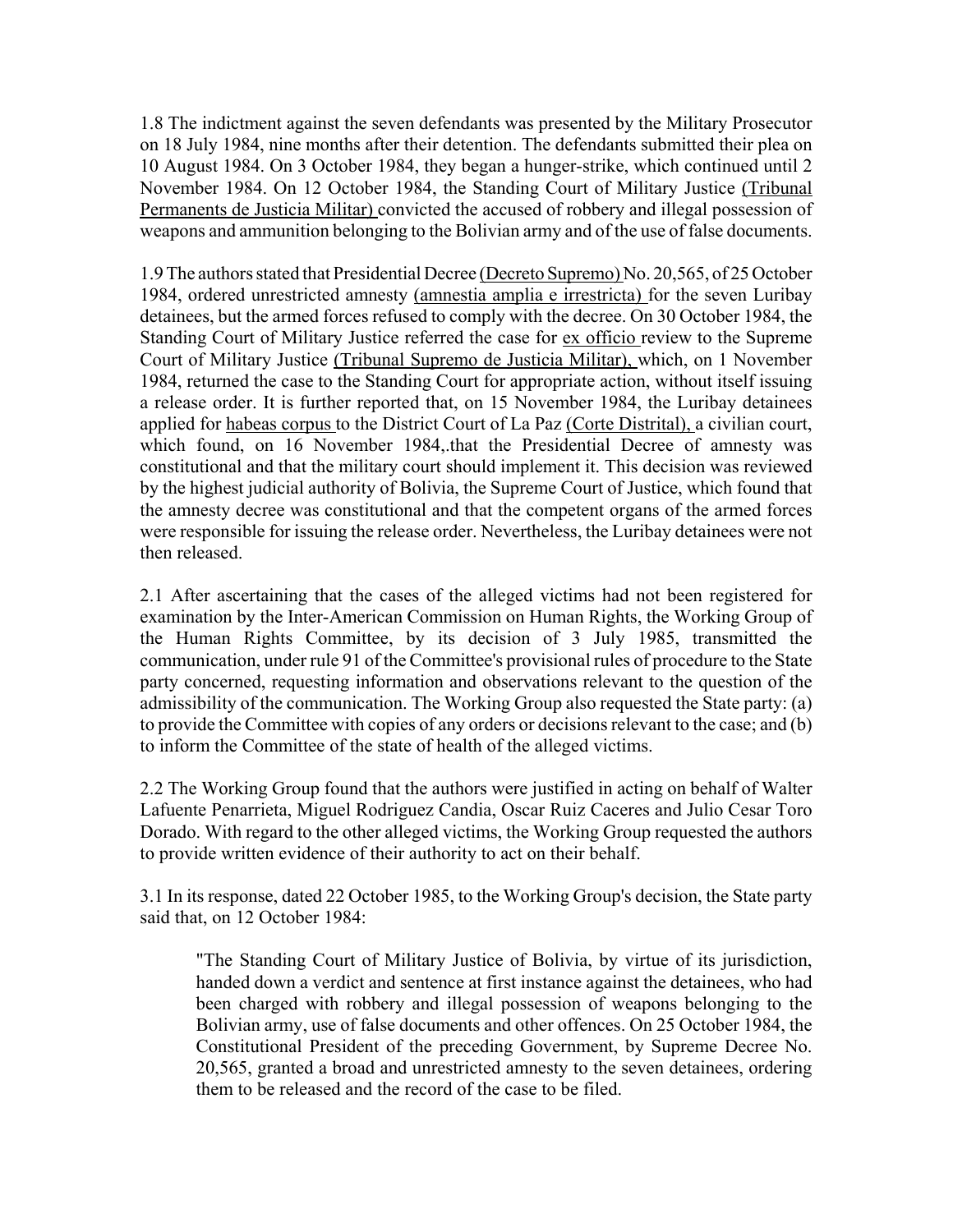1.8 The indictment against the seven defendants was presented by the Military Prosecutor on 18 July 1984, nine months after their detention. The defendants submitted their plea on 10 August 1984. On 3 October 1984, they began a hunger-strike, which continued until 2 November 1984. On 12 October 1984, the Standing Court of Military Justice (Tribunal Permanents de Justicia Militar) convicted the accused of robbery and illegal possession of weapons and ammunition belonging to the Bolivian army and of the use of false documents.

1.9 The authors stated that Presidential Decree (Decreto Supremo) No. 20,565, of 25 October 1984, ordered unrestricted amnesty (amnestia amplia e irrestricta) for the seven Luribay detainees, but the armed forces refused to comply with the decree. On 30 October 1984, the Standing Court of Military Justice referred the case for ex officio review to the Supreme Court of Military Justice (Tribunal Supremo de Justicia Militar), which, on 1 November 1984, returned the case to the Standing Court for appropriate action, without itself issuing a release order. It is further reported that, on 15 November 1984, the Luribay detainees applied for habeas corpus to the District Court of La Paz (Corte Distrital), a civilian court, which found, on 16 November 1984, that the Presidential Decree of amnesty was constitutional and that the military court should implement it. This decision was reviewed by the highest judicial authority of Bolivia, the Supreme Court of Justice, which found that the amnesty decree was constitutional and that the competent organs of the armed forces were responsible for issuing the release order. Nevertheless, the Luribay detainees were not then released.

2.1 After ascertaining that the cases of the alleged victims had not been registered for examination by the Inter-American Commission on Human Rights, the Working Group of the Human Rights Committee, by its decision of 3 July 1985, transmitted the communication, under rule 91 of the Committee's provisional rules of procedure to the State party concerned, requesting information and observations relevant to the question of the admissibility of the communication. The Working Group also requested the State party: (a) to provide the Committee with copies of any orders or decisions relevant to the case; and (b) to inform the Committee of the state of health of the alleged victims.

2.2 The Working Group found that the authors were justified in acting on behalf of Walter Lafuente Penarrieta, Miguel Rodriguez Candia, Oscar Ruiz Caceres and Julio Cesar Toro Dorado. With regard to the other alleged victims, the Working Group requested the authors to provide written evidence of their authority to act on their behalf.

3.1 In its response, dated 22 October 1985, to the Working Group's decision, the State party said that, on 12 October 1984:

"The Standing Court of Military Justice of Bolivia, by virtue of its jurisdiction, handed down a verdict and sentence at first instance against the detainees, who had been charged with robbery and illegal possession of weapons belonging to the Bolivian army, use of false documents and other offences. On 25 October 1984, the Constitutional President of the preceding Government, by Supreme Decree No. 20,565, granted a broad and unrestricted amnesty to the seven detainees, ordering them to be released and the record of the case to be filed.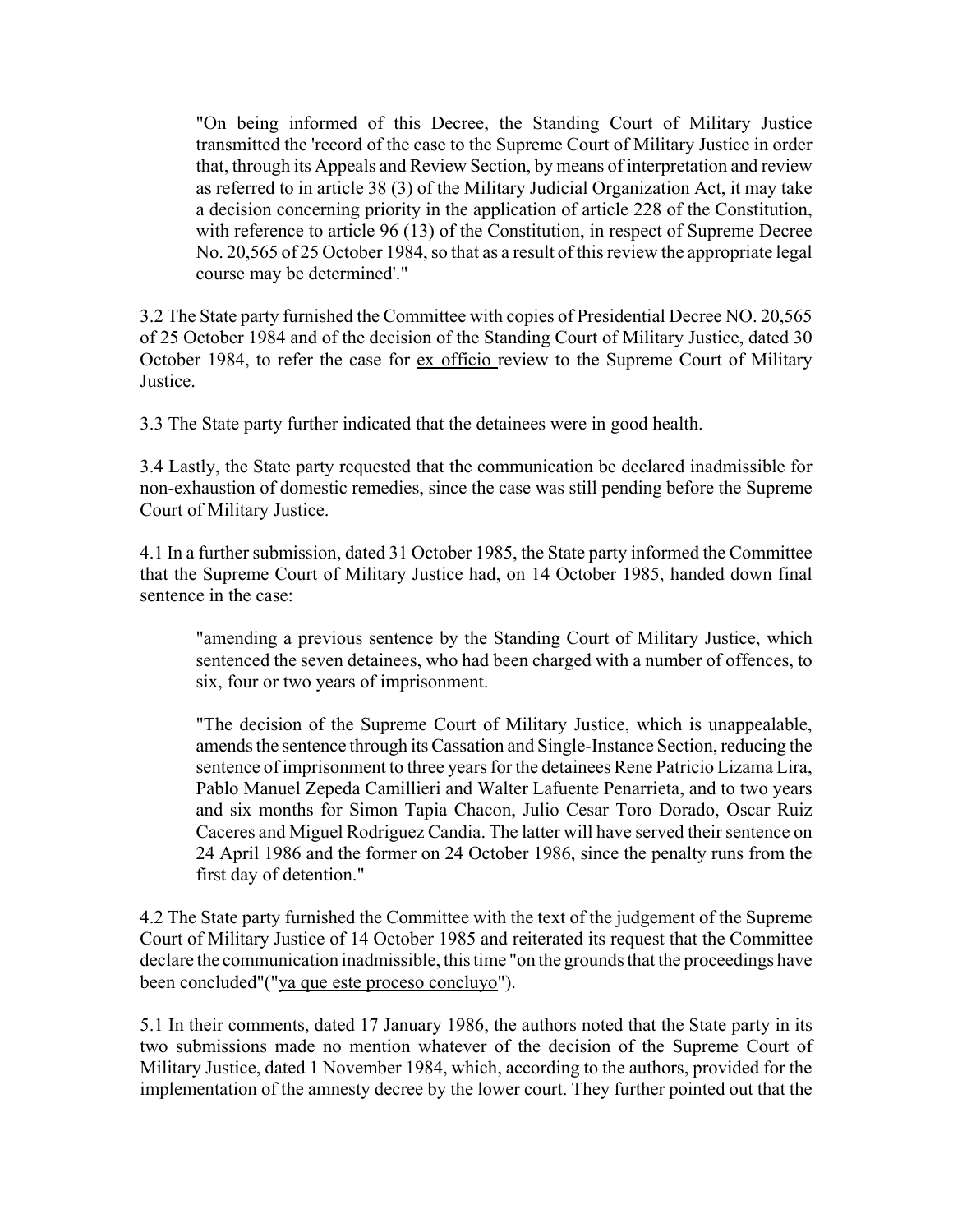"On being informed of this Decree, the Standing Court of Military Justice transmitted the 'record of the case to the Supreme Court of Military Justice in order that, through its Appeals and Review Section, by means of interpretation and review as referred to in article 38 (3) of the Military Judicial Organization Act, it may take a decision concerning priority in the application of article 228 of the Constitution, with reference to article 96 (13) of the Constitution, in respect of Supreme Decree No. 20,565 of 25 October 1984, so that as a result of this review the appropriate legal course may be determined'."

3.2 The State party furnished the Committee with copies of Presidential Decree NO. 20,565 of 25 October 1984 and of the decision of the Standing Court of Military Justice, dated 30 October 1984, to refer the case for ex officio review to the Supreme Court of Military **Justice** 

3.3 The State party further indicated that the detainees were in good health.

3.4 Lastly, the State party requested that the communication be declared inadmissible for non-exhaustion of domestic remedies, since the case was still pending before the Supreme Court of Military Justice.

4.1 In a further submission, dated 31 October 1985, the State party informed the Committee that the Supreme Court of Military Justice had, on 14 October 1985, handed down final sentence in the case:

"amending a previous sentence by the Standing Court of Military Justice, which sentenced the seven detainees, who had been charged with a number of offences, to six, four or two years of imprisonment.

"The decision of the Supreme Court of Military Justice, which is unappealable, amends the sentence through its Cassation and Single-Instance Section, reducing the sentence of imprisonment to three years for the detainees Rene Patricio Lizama Lira, Pablo Manuel Zepeda Camillieri and Walter Lafuente Penarrieta, and to two years and six months for Simon Tapia Chacon, Julio Cesar Toro Dorado, Oscar Ruiz Caceres and Miguel Rodriguez Candia. The latter will have served their sentence on 24 April 1986 and the former on 24 October 1986, since the penalty runs from the first day of detention."

4.2 The State party furnished the Committee with the text of the judgement of the Supreme Court of Military Justice of 14 October 1985 and reiterated its request that the Committee declare the communication inadmissible, this time "on the grounds that the proceedings have been concluded"("ya que este proceso concluyo").

5.1 In their comments, dated 17 January 1986, the authors noted that the State party in its two submissions made no mention whatever of the decision of the Supreme Court of Military Justice, dated 1 November 1984, which, according to the authors, provided for the implementation of the amnesty decree by the lower court. They further pointed out that the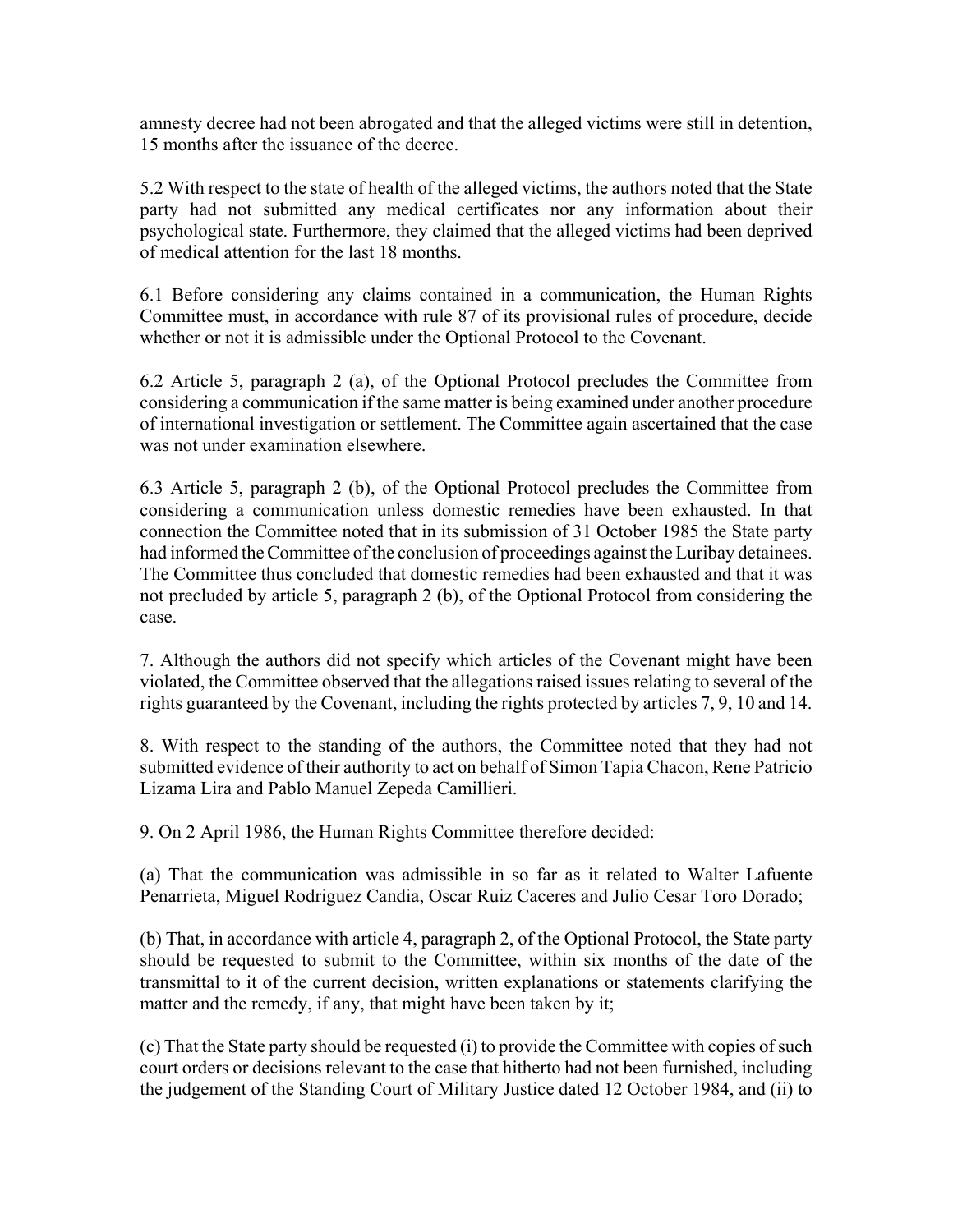amnesty decree had not been abrogated and that the alleged victims were still in detention, 15 months after the issuance of the decree.

5.2 With respect to the state of health of the alleged victims, the authors noted that the State party had not submitted any medical certificates nor any information about their psychological state. Furthermore, they claimed that the alleged victims had been deprived of medical attention for the last 18 months.

6.1 Before considering any claims contained in a communication, the Human Rights Committee must, in accordance with rule 87 of its provisional rules of procedure, decide whether or not it is admissible under the Optional Protocol to the Covenant.

6.2 Article 5, paragraph 2 (a), of the Optional Protocol precludes the Committee from considering a communication if the same matter is being examined under another procedure of international investigation or settlement. The Committee again ascertained that the case was not under examination elsewhere.

6.3 Article 5, paragraph 2 (b), of the Optional Protocol precludes the Committee from considering a communication unless domestic remedies have been exhausted. In that connection the Committee noted that in its submission of 31 October 1985 the State party had informed the Committee of the conclusion of proceedings against the Luribay detainees. The Committee thus concluded that domestic remedies had been exhausted and that it was not precluded by article 5, paragraph 2 (b), of the Optional Protocol from considering the case.

7. Although the authors did not specify which articles of the Covenant might have been violated, the Committee observed that the allegations raised issues relating to several of the rights guaranteed by the Covenant, including the rights protected by articles 7, 9, 10 and 14.

8. With respect to the standing of the authors, the Committee noted that they had not submitted evidence of their authority to act on behalf of Simon Tapia Chacon, Rene Patricio Lizama Lira and Pablo Manuel Zepeda Camillieri.

9. On 2 April 1986, the Human Rights Committee therefore decided:

(a) That the communication was admissible in so far as it related to Walter Lafuente Penarrieta, Miguel Rodriguez Candia, Oscar Ruiz Caceres and Julio Cesar Toro Dorado;

(b) That, in accordance with article 4, paragraph 2, of the Optional Protocol, the State party should be requested to submit to the Committee, within six months of the date of the transmittal to it of the current decision, written explanations or statements clarifying the matter and the remedy, if any, that might have been taken by it;

(c) That the State party should be requested (i) to provide the Committee with copies of such court orders or decisions relevant to the case that hitherto had not been furnished, including the judgement of the Standing Court of Military Justice dated 12 October 1984, and (ii) to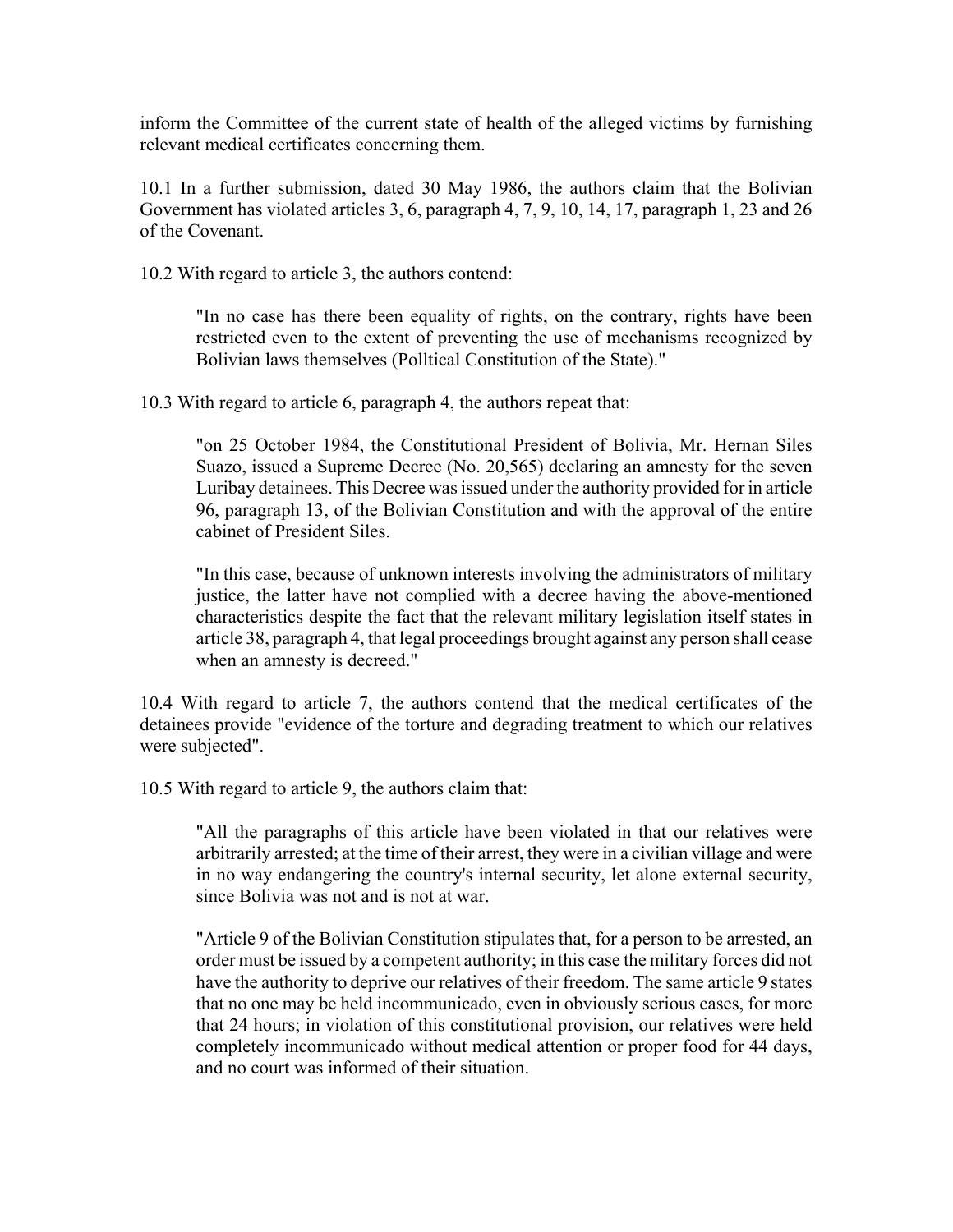inform the Committee of the current state of health of the alleged victims by furnishing relevant medical certificates concerning them.

10.1 In a further submission, dated 30 May 1986, the authors claim that the Bolivian Government has violated articles 3, 6, paragraph 4, 7, 9, 10, 14, 17, paragraph 1, 23 and 26 of the Covenant.

10.2 With regard to article 3, the authors contend:

"In no case has there been equality of rights, on the contrary, rights have been restricted even to the extent of preventing the use of mechanisms recognized by Bolivian laws themselves (Polltical Constitution of the State)."

10.3 With regard to article 6, paragraph 4, the authors repeat that:

"on 25 October 1984, the Constitutional President of Bolivia, Mr. Hernan Siles Suazo, issued a Supreme Decree (No. 20,565) declaring an amnesty for the seven Luribay detainees. This Decree was issued under the authority provided for in article 96, paragraph 13, of the Bolivian Constitution and with the approval of the entire cabinet of President Siles.

"In this case, because of unknown interests involving the administrators of military justice, the latter have not complied with a decree having the above-mentioned characteristics despite the fact that the relevant military legislation itself states in article 38, paragraph 4, that legal proceedings brought against any person shall cease when an amnesty is decreed."

10.4 With regard to article 7, the authors contend that the medical certificates of the detainees provide "evidence of the torture and degrading treatment to which our relatives were subjected".

10.5 With regard to article 9, the authors claim that:

"All the paragraphs of this article have been violated in that our relatives were arbitrarily arrested; at the time of their arrest, they were in a civilian village and were in no way endangering the country's internal security, let alone external security, since Bolivia was not and is not at war.

"Article 9 of the Bolivian Constitution stipulates that, for a person to be arrested, an order must be issued by a competent authority; in this case the military forces did not have the authority to deprive our relatives of their freedom. The same article 9 states that no one may be held incommunicado, even in obviously serious cases, for more that 24 hours; in violation of this constitutional provision, our relatives were held completely incommunicado without medical attention or proper food for 44 days, and no court was informed of their situation.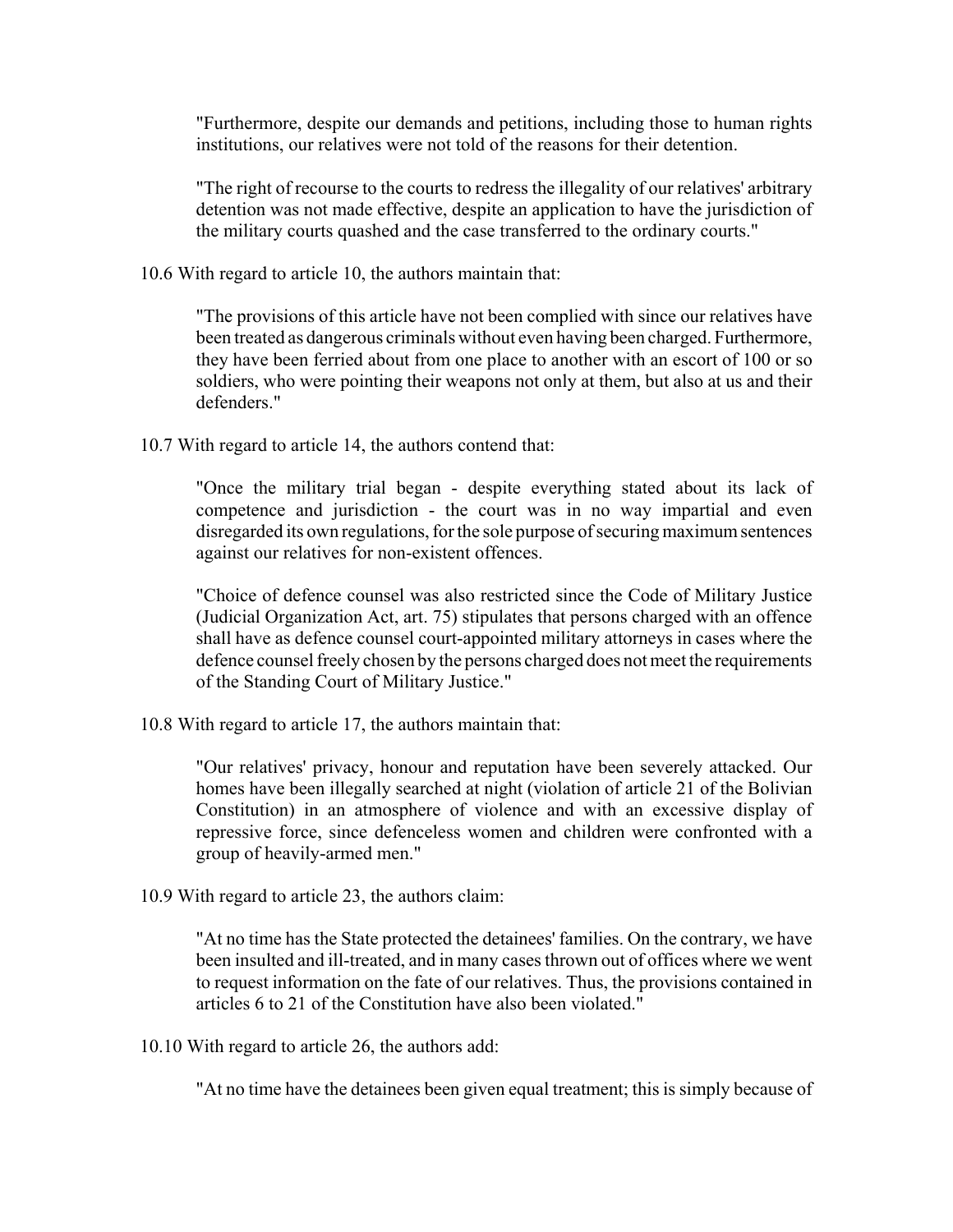"Furthermore, despite our demands and petitions, including those to human rights institutions, our relatives were not told of the reasons for their detention.

"The right of recourse to the courts to redress the illegality of our relatives' arbitrary detention was not made effective, despite an application to have the jurisdiction of the military courts quashed and the case transferred to the ordinary courts."

10.6 With regard to article 10, the authors maintain that:

"The provisions of this article have not been complied with since our relatives have been treated as dangerous criminals without even having been charged. Furthermore, they have been ferried about from one place to another with an escort of 100 or so soldiers, who were pointing their weapons not only at them, but also at us and their defenders."

10.7 With regard to article 14, the authors contend that:

"Once the military trial began - despite everything stated about its lack of competence and jurisdiction - the court was in no way impartial and even disregarded its own regulations, for the sole purpose of securing maximum sentences against our relatives for non-existent offences.

"Choice of defence counsel was also restricted since the Code of Military Justice (Judicial Organization Act, art. 75) stipulates that persons charged with an offence shall have as defence counsel court-appointed military attorneys in cases where the defence counsel freely chosen by the persons charged does not meet the requirements of the Standing Court of Military Justice."

10.8 With regard to article 17, the authors maintain that:

"Our relatives' privacy, honour and reputation have been severely attacked. Our homes have been illegally searched at night (violation of article 21 of the Bolivian Constitution) in an atmosphere of violence and with an excessive display of repressive force, since defenceless women and children were confronted with a group of heavily-armed men."

10.9 With regard to article 23, the authors claim:

"At no time has the State protected the detainees' families. On the contrary, we have been insulted and ill-treated, and in many cases thrown out of offices where we went to request information on the fate of our relatives. Thus, the provisions contained in articles 6 to 21 of the Constitution have also been violated."

10.10 With regard to article 26, the authors add:

"At no time have the detainees been given equal treatment; this is simply because of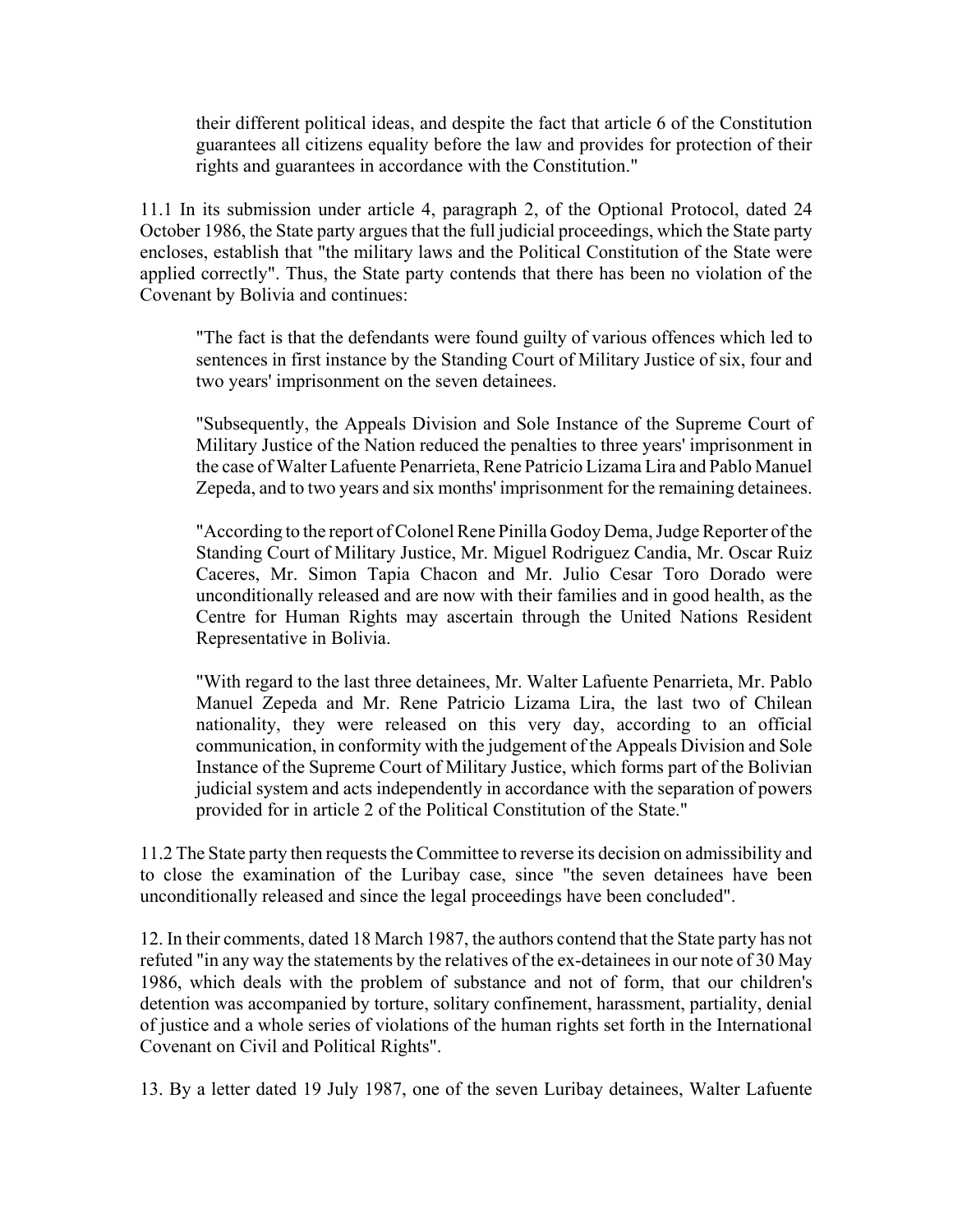their different political ideas, and despite the fact that article 6 of the Constitution guarantees all citizens equality before the law and provides for protection of their rights and guarantees in accordance with the Constitution."

11.1 In its submission under article 4, paragraph 2, of the Optional Protocol, dated 24 October 1986, the State party argues that the full judicial proceedings, which the State party encloses, establish that "the military laws and the Political Constitution of the State were applied correctly". Thus, the State party contends that there has been no violation of the Covenant by Bolivia and continues:

"The fact is that the defendants were found guilty of various offences which led to sentences in first instance by the Standing Court of Military Justice of six, four and two years' imprisonment on the seven detainees.

"Subsequently, the Appeals Division and Sole Instance of the Supreme Court of Military Justice of the Nation reduced the penalties to three years' imprisonment in the case of Walter Lafuente Penarrieta, Rene Patricio Lizama Lira and Pablo Manuel Zepeda, and to two years and six months' imprisonment for the remaining detainees.

"According to the report of Colonel Rene Pinilla Godoy Dema, Judge Reporter of the Standing Court of Military Justice, Mr. Miguel Rodriguez Candia, Mr. Oscar Ruiz Caceres, Mr. Simon Tapia Chacon and Mr. Julio Cesar Toro Dorado were unconditionally released and are now with their families and in good health, as the Centre for Human Rights may ascertain through the United Nations Resident Representative in Bolivia.

"With regard to the last three detainees, Mr. Walter Lafuente Penarrieta, Mr. Pablo Manuel Zepeda and Mr. Rene Patricio Lizama Lira, the last two of Chilean nationality, they were released on this very day, according to an official communication, in conformity with the judgement of the Appeals Division and Sole Instance of the Supreme Court of Military Justice, which forms part of the Bolivian judicial system and acts independently in accordance with the separation of powers provided for in article 2 of the Political Constitution of the State."

11.2 The State party then requests the Committee to reverse its decision on admissibility and to close the examination of the Luribay case, since "the seven detainees have been unconditionally released and since the legal proceedings have been concluded".

12. In their comments, dated 18 March 1987, the authors contend that the State party has not refuted "in any way the statements by the relatives of the ex-detainees in our note of 30 May 1986, which deals with the problem of substance and not of form, that our children's detention was accompanied by torture, solitary confinement, harassment, partiality, denial of justice and a whole series of violations of the human rights set forth in the International Covenant on Civil and Political Rights".

13. By a letter dated 19 July 1987, one of the seven Luribay detainees, Walter Lafuente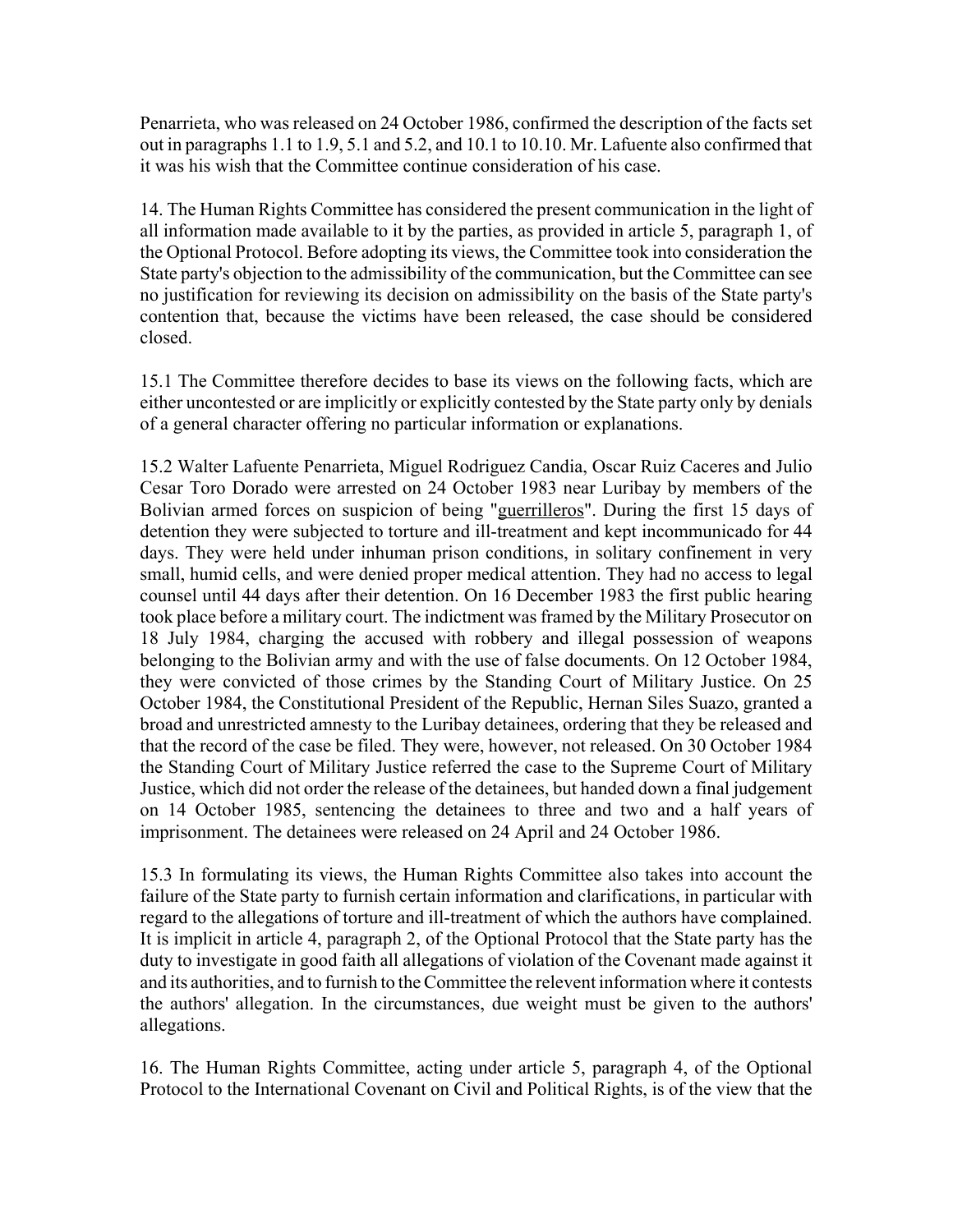Penarrieta, who was released on 24 October 1986, confirmed the description of the facts set out in paragraphs 1.1 to 1.9, 5.1 and 5.2, and 10.1 to 10.10. Mr. Lafuente also confirmed that it was his wish that the Committee continue consideration of his case.

14. The Human Rights Committee has considered the present communication in the light of all information made available to it by the parties, as provided in article 5, paragraph 1, of the Optional Protocol. Before adopting its views, the Committee took into consideration the State party's objection to the admissibility of the communication, but the Committee can see no justification for reviewing its decision on admissibility on the basis of the State party's contention that, because the victims have been released, the case should be considered closed.

15.1 The Committee therefore decides to base its views on the following facts, which are either uncontested or are implicitly or explicitly contested by the State party only by denials of a general character offering no particular information or explanations.

15.2 Walter Lafuente Penarrieta, Miguel Rodriguez Candia, Oscar Ruiz Caceres and Julio Cesar Toro Dorado were arrested on 24 October 1983 near Luribay by members of the Bolivian armed forces on suspicion of being "guerrilleros". During the first 15 days of detention they were subjected to torture and ill-treatment and kept incommunicado for 44 days. They were held under inhuman prison conditions, in solitary confinement in very small, humid cells, and were denied proper medical attention. They had no access to legal counsel until 44 days after their detention. On 16 December 1983 the first public hearing took place before a military court. The indictment was framed by the Military Prosecutor on 18 July 1984, charging the accused with robbery and illegal possession of weapons belonging to the Bolivian army and with the use of false documents. On 12 October 1984, they were convicted of those crimes by the Standing Court of Military Justice. On 25 October 1984, the Constitutional President of the Republic, Hernan Siles Suazo, granted a broad and unrestricted amnesty to the Luribay detainees, ordering that they be released and that the record of the case be filed. They were, however, not released. On 30 October 1984 the Standing Court of Military Justice referred the case to the Supreme Court of Military Justice, which did not order the release of the detainees, but handed down a final judgement on 14 October 1985, sentencing the detainees to three and two and a half years of imprisonment. The detainees were released on 24 April and 24 October 1986.

15.3 In formulating its views, the Human Rights Committee also takes into account the failure of the State party to furnish certain information and clarifications, in particular with regard to the allegations of torture and ill-treatment of which the authors have complained. It is implicit in article 4, paragraph 2, of the Optional Protocol that the State party has the duty to investigate in good faith all allegations of violation of the Covenant made against it and its authorities, and to furnish to the Committee the relevent information where it contests the authors' allegation. In the circumstances, due weight must be given to the authors' allegations.

16. The Human Rights Committee, acting under article 5, paragraph 4, of the Optional Protocol to the International Covenant on Civil and Political Rights, is of the view that the